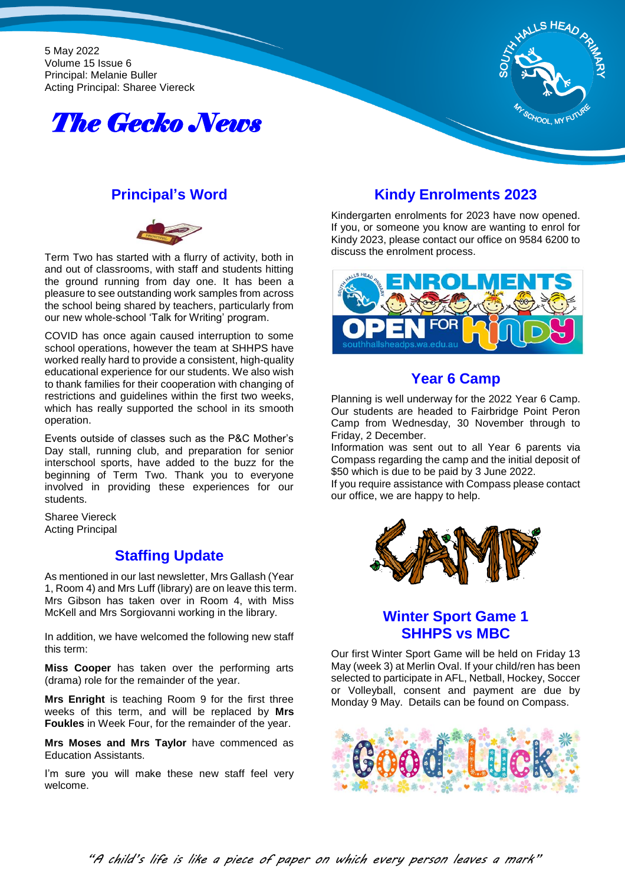5 May 2022 Volume 15 Issue 6 Principal: Melanie Buller Acting Principal: Sharee Viereck





## **Principal's Word**



Term Two has started with a flurry of activity, both in and out of classrooms, with staff and students hitting the ground running from day one. It has been a pleasure to see outstanding work samples from across the school being shared by teachers, particularly from our new whole-school 'Talk for Writing' program.

COVID has once again caused interruption to some school operations, however the team at SHHPS have worked really hard to provide a consistent, high-quality educational experience for our students. We also wish to thank families for their cooperation with changing of restrictions and guidelines within the first two weeks, which has really supported the school in its smooth operation.

Events outside of classes such as the P&C Mother's Day stall, running club, and preparation for senior interschool sports, have added to the buzz for the beginning of Term Two. Thank you to everyone involved in providing these experiences for our students.

Sharee Viereck Acting Principal

## **Staffing Update**

As mentioned in our last newsletter, Mrs Gallash (Year 1, Room 4) and Mrs Luff (library) are on leave this term. Mrs Gibson has taken over in Room 4, with Miss McKell and Mrs Sorgiovanni working in the library.

In addition, we have welcomed the following new staff this term:

**Miss Cooper** has taken over the performing arts (drama) role for the remainder of the year.

**Mrs Enright** is teaching Room 9 for the first three weeks of this term, and will be replaced by **Mrs Foukles** in Week Four, for the remainder of the year.

**Mrs Moses and Mrs Taylor** have commenced as Education Assistants.

I'm sure you will make these new staff feel very welcome.

# **Kindy Enrolments 2023**

Kindergarten enrolments for 2023 have now opened. If you, or someone you know are wanting to enrol for Kindy 2023, please contact our office on 9584 6200 to discuss the enrolment process.



# **Year 6 Camp**

Planning is well underway for the 2022 Year 6 Camp. Our students are headed to Fairbridge Point Peron Camp from Wednesday, 30 November through to Friday, 2 December.

Information was sent out to all Year 6 parents via Compass regarding the camp and the initial deposit of \$50 which is due to be paid by 3 June 2022.

If you require assistance with Compass please contact our office, we are happy to help.



# **Winter Sport Game 1 SHHPS vs MBC**

Our first Winter Sport Game will be held on Friday 13 May (week 3) at Merlin Oval. If your child/ren has been selected to participate in AFL, Netball, Hockey, Soccer or Volleyball, consent and payment are due by Monday 9 May. Details can be found on Compass.